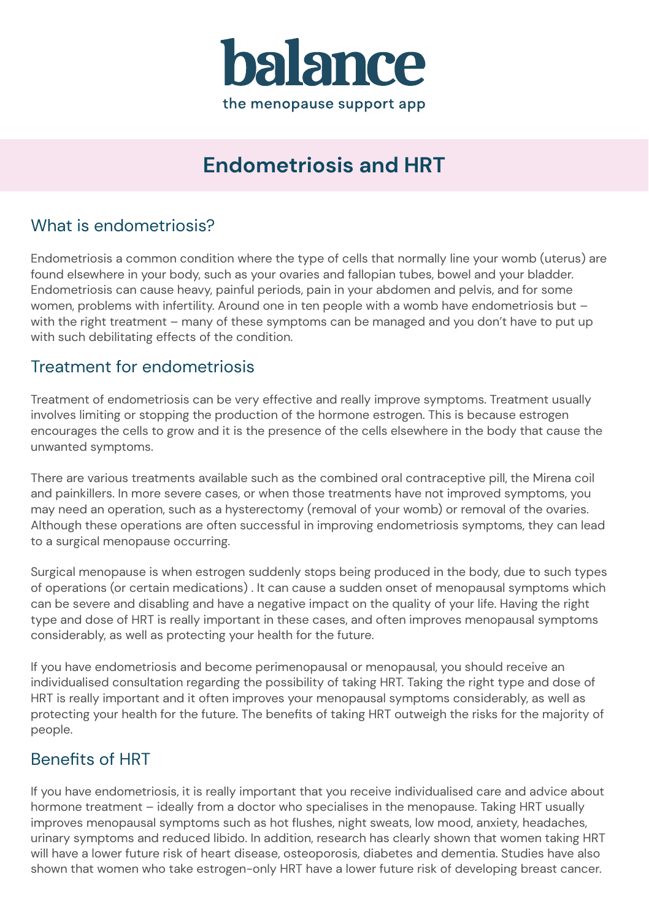

# **Endometriosis and HRT**

#### What is endometriosis?

Endometriosis a common condition where the type of cells that normally line your womb (uterus) are found elsewhere in your body, such as your ovaries and fallopian tubes, bowel and your bladder. Endometriosis can cause heavy, painful periods, pain in your abdomen and pelvis, and for some women, problems with infertility. Around one in ten people with a womb have endometriosis but with the right treatment – many of these symptoms can be managed and you don't have to put up with such debilitating effects of the condition.

#### Treatment for endometriosis

Treatment of endometriosis can be very effective and really improve symptoms. Treatment usually involves limiting or stopping the production of the hormone estrogen. This is because estrogen encourages the cells to grow and it is the presence of the cells elsewhere in the body that cause the unwanted symptoms.

There are various treatments available such as the combined oral contraceptive pill, the Mirena coil and painkillers. In more severe cases, or when those treatments have not improved symptoms, you may need an operation, such as a hysterectomy (removal of your womb) or removal of the ovaries. Although these operations are often successful in improving endometriosis symptoms, they can lead to a surgical menopause occurring.

Surgical menopause is when estrogen suddenly stops being produced in the body, due to such types of operations (or certain medications) . It can cause a sudden onset of menopausal symptoms which can be severe and disabling and have a negative impact on the quality of your life. Having the right type and dose of HRT is really important in these cases, and often improves menopausal symptoms considerably, as well as protecting your health for the future.

If you have endometriosis and become perimenopausal or menopausal, you should receive an individualised consultation regarding the possibility of taking HRT. Taking the right type and dose of HRT is really important and it often improves your menopausal symptoms considerably, as well as protecting your health for the future. The benefits of taking HRT outweigh the risks for the majority of people.

#### Benefits of HRT

If you have endometriosis, it is really important that you receive individualised care and advice about hormone treatment – ideally from a doctor who specialises in the menopause. Taking HRT usually improves menopausal symptoms such as hot flushes, night sweats, low mood, anxiety, headaches, urinary symptoms and reduced libido. In addition, research has clearly shown that women taking HRT will have a lower future risk of heart disease, osteoporosis, diabetes and dementia. Studies have also shown that women who take estrogen-only HRT have a lower future risk of developing breast cancer.